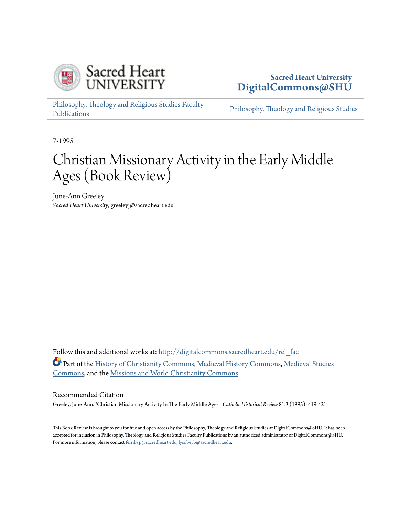

## **Sacred Heart University [DigitalCommons@SHU](http://digitalcommons.sacredheart.edu?utm_source=digitalcommons.sacredheart.edu%2Frel_fac%2F32&utm_medium=PDF&utm_campaign=PDFCoverPages)**

[Philosophy, Theology and Religious Studies Faculty](http://digitalcommons.sacredheart.edu/rel_fac?utm_source=digitalcommons.sacredheart.edu%2Frel_fac%2F32&utm_medium=PDF&utm_campaign=PDFCoverPages) [Publications](http://digitalcommons.sacredheart.edu/rel_fac?utm_source=digitalcommons.sacredheart.edu%2Frel_fac%2F32&utm_medium=PDF&utm_campaign=PDFCoverPages)

[Philosophy, Theology and Religious Studies](http://digitalcommons.sacredheart.edu/rel?utm_source=digitalcommons.sacredheart.edu%2Frel_fac%2F32&utm_medium=PDF&utm_campaign=PDFCoverPages)

7-1995

## Christian Missionary Activity in the Early Middle Ages (Book Review)

June-Ann Greeley *Sacred Heart University*, greeleyj@sacredheart.edu

Follow this and additional works at: [http://digitalcommons.sacredheart.edu/rel\\_fac](http://digitalcommons.sacredheart.edu/rel_fac?utm_source=digitalcommons.sacredheart.edu%2Frel_fac%2F32&utm_medium=PDF&utm_campaign=PDFCoverPages) Part of the [History of Christianity Commons,](http://network.bepress.com/hgg/discipline/1182?utm_source=digitalcommons.sacredheart.edu%2Frel_fac%2F32&utm_medium=PDF&utm_campaign=PDFCoverPages) [Medieval History Commons](http://network.bepress.com/hgg/discipline/503?utm_source=digitalcommons.sacredheart.edu%2Frel_fac%2F32&utm_medium=PDF&utm_campaign=PDFCoverPages), [Medieval Studies](http://network.bepress.com/hgg/discipline/480?utm_source=digitalcommons.sacredheart.edu%2Frel_fac%2F32&utm_medium=PDF&utm_campaign=PDFCoverPages) [Commons,](http://network.bepress.com/hgg/discipline/480?utm_source=digitalcommons.sacredheart.edu%2Frel_fac%2F32&utm_medium=PDF&utm_campaign=PDFCoverPages) and the [Missions and World Christianity Commons](http://network.bepress.com/hgg/discipline/1187?utm_source=digitalcommons.sacredheart.edu%2Frel_fac%2F32&utm_medium=PDF&utm_campaign=PDFCoverPages)

## Recommended Citation

Greeley, June-Ann. "Christian Missionary Activity In The Early Middle Ages." *Catholic Historical Review* 81.3 (1995): 419-421.

This Book Review is brought to you for free and open access by the Philosophy, Theology and Religious Studies at DigitalCommons@SHU. It has been accepted for inclusion in Philosophy, Theology and Religious Studies Faculty Publications by an authorized administrator of DigitalCommons@SHU. For more information, please contact [ferribyp@sacredheart.edu, lysobeyb@sacredheart.edu.](mailto:ferribyp@sacredheart.edu,%20lysobeyb@sacredheart.edu)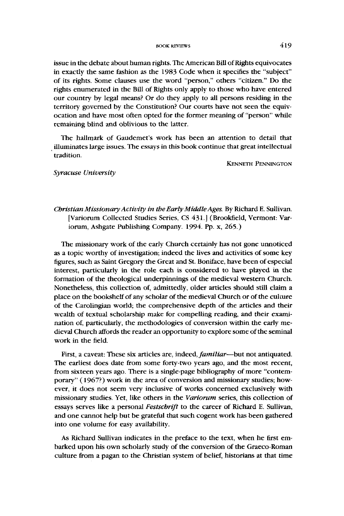issue in the debate about human rights. The American Bill of Rights equivocates in exactly the same fashion as the 1983 Code when it specifies the "subject" of its rights. Some clauses use the word "person," others "citizen." Do the rights enumerated in the Bill of Rights only apply to those who have entered our country by legal means? Or do they apply to all persons residing in the territory governed by the Constitution? Our courts have not seen the equivocation and have most often opted for the former meaning of "person" while remaining blind and oblivious to the latter.

The hallmark of Gaudemet's work has been an attention to detail that illuminates large issues. The essays in this book continue that great intellectual tradition.

Syracuse University

Kenneth Pennington

## Christian Missionary Activity in the Early Middle Ages. By Richard E. Sullivan. [Variorum Collected Studies Series, CS 431.] (Brookfield, Vermont: Variorum, Ashgate Publishing Company. 1994. Pp. x, 265.)

The missionary work of the early Church certainly has not gone unnoticed as a topic worthy of investigation; indeed the lives and activities of some key figures, such as Saint Gregory the Great and St. Boniface, have been of especial interest, particularly in the role each is considered to have played in the formation of the theological underpinnings of the medieval western Church. Nonetheless, this collection of, admittedly, older articles should still claim a place on the bookshelf of any scholar of the medieval Church or of the culture of the Carolingian world; the comprehensive depth of the articles and their wealth of textual scholarship make for compelling reading, and their examination of, particularly, the methodologies of conversion within the early medieval Church affords the reader an opportunity to explore some of the seminal work in the field.

First, a caveat: These six articles are, indeed, *familiar*—but not antiquated. The earliest does date from some forty-two years ago, and the most recent, from sixteen years ago. There is a single-page bibliography of more "contemporary" (1967?) work in the area of conversion and missionary studies; however, it does not seem very inclusive of works concerned exclusively with missionary studies. Yet, like others in the Variorum series, this collection of essays serves like a personal Festschrift to the career of Richard E. Sullivan, and one cannot help but be grateful that such cogent work has been gathered into one volume for easy availability.

As Richard Sullivan indicates in the preface to the text, when he first embarked upon his own scholarly study of the conversion of the Graeco-Roman culture from a pagan to the Christian system of belief, historians at that time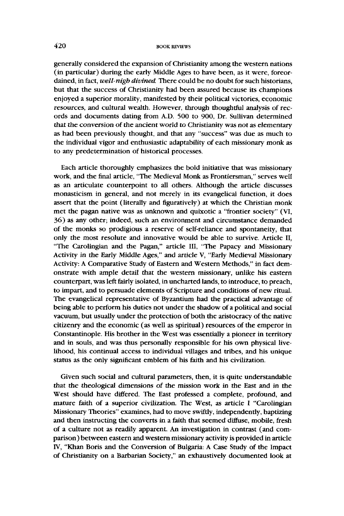generally considered the expansion of Christianity among the western nations (in particular) during the early Middle Ages to have been, as it were, foreordained, in fact, well-nigh divined. There could be no doubt for such historians, but that the success of Christianity had been assured because its champions enjoyed a superior morality, manifested by their political victories, economic resources, and cultural wealth. However, through thoughtful analysis of records and documents dating from A.D. 500 to 900, Dr. Sullivan determined that the conversion of the ancient world to Christianity was not as elementary as had been previously thought, and that any "success" was due as much to the individual vigor and enthusiastic adaptability of each missionary monk as to any predetermination of historical processes.

Each article thoroughly emphasizes the bold initiative that was missionary work, and the final article, "The Medieval Monk as Frontiersman," serves well as an articulate counterpoint to all others. Although the article discusses monasticism in general, and not merely in its evangelical function, it does assert that the point (literally and figuratively) at which the Christian monk met the pagan native was as unknown and quixotic a "frontier society" (VI, 36) as any other; indeed, such an environment and circumstance demanded of the monks so prodigious a reserve of self-reliance and spontaneity, that only the most resolute and innovative would be able to survive. Article II, "The Carolingian and the Pagan," article HI, "The Papacy and Missionary Activity in the Early Middle Ages," and article V, "Early Medieval Missionary Activity: A Comparative Study of Eastern and Western Methods," in fact demonstrate with ample detail that die western missionary, unlike his eastern counterpart, was left fairly isolated, in uncharted lands, to introduce, to preach, to impart, and to persuade elements of Scripture and conditions of new ritual. The evangelical representative of Byzantium had the practical advantage of being able to perform his duties not under the shadow of a political and social vacuum, but usually under the protection of both the aristocracy of the native citizenry and the economic (as well as spiritual) resources of the emperor in Constantinople. His brother in the West was essentially a pioneer in territory and in souls, and was thus personally responsible for his own physical livelihood, his continual access to individual villages and tribes, and his unique status as the only significant emblem of his faith and his civilization.

Given such social and cultural parameters, then, it is quite understandable that the theological dimensions of the mission work in the East and in the West should have differed. The East professed a complete, profound, and mature faith of a superior civilization. The West, as article I "Carolingian Missionary Theories" examines, had to move swiftly, independently, baptizing and then instructing the converts in a faith that seemed diffuse, mobile, fresh of a culture not as readily apparent. An investigation in contrast (and comparison) between eastern and western missionary activity is provided in article rV, "Khan Boris and the Conversion of Bulgaria: A Case Study of the Impact of Christianity on a Barbarian Society," an exhaustively documented look at